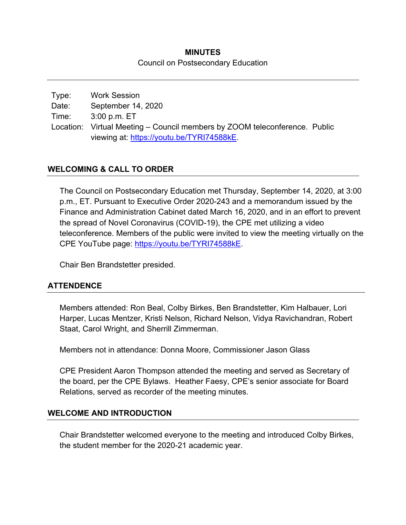## **MINUTES**  Council on Postsecondary Education

Type: Work Session Date: September 14, 2020 Time: 3:00 p.m. ET Location: Virtual Meeting – Council members by ZOOM teleconference. Public viewing at: https://youtu.be/TYRI74588kE.

## **WELCOMING & CALL TO ORDER**

The Council on Postsecondary Education met Thursday, September 14, 2020, at 3:00 p.m., ET. Pursuant to Executive Order 2020-243 and a memorandum issued by the Finance and Administration Cabinet dated March 16, 2020, and in an effort to prevent the spread of Novel Coronavirus (COVID-19), the CPE met utilizing a video teleconference. Members of the public were invited to view the meeting virtually on the CPE YouTube page: https://youtu.be/TYRI74588kE.

Chair Ben Brandstetter presided.

## **ATTENDENCE**

Members attended: Ron Beal, Colby Birkes, Ben Brandstetter, Kim Halbauer, Lori Harper, Lucas Mentzer, Kristi Nelson, Richard Nelson, Vidya Ravichandran, Robert Staat, Carol Wright, and Sherrill Zimmerman.

Members not in attendance: Donna Moore, Commissioner Jason Glass

CPE President Aaron Thompson attended the meeting and served as Secretary of the board, per the CPE Bylaws. Heather Faesy, CPE's senior associate for Board Relations, served as recorder of the meeting minutes.

## **WELCOME AND INTRODUCTION**

Chair Brandstetter welcomed everyone to the meeting and introduced Colby Birkes, the student member for the 2020-21 academic year.